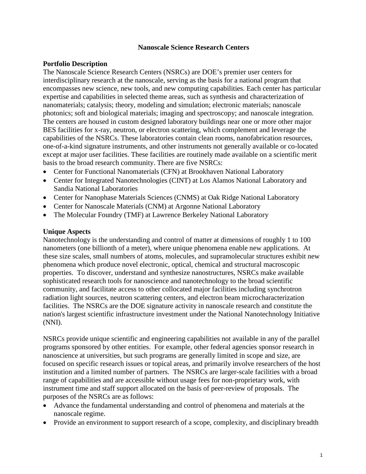### **Nanoscale Science Research Centers**

### **Portfolio Description**

The Nanoscale Science Research Centers (NSRCs) are DOE's premier user centers for interdisciplinary research at the nanoscale, serving as the basis for a national program that encompasses new science, new tools, and new computing capabilities. Each center has particular expertise and capabilities in selected theme areas, such as synthesis and characterization of nanomaterials; catalysis; theory, modeling and simulation; electronic materials; nanoscale photonics; soft and biological materials; imaging and spectroscopy; and nanoscale integration. The centers are housed in custom designed laboratory buildings near one or more other major BES facilities for x-ray, neutron, or electron scattering, which complement and leverage the capabilities of the NSRCs. These laboratories contain clean rooms, nanofabrication resources, one-of-a-kind signature instruments, and other instruments not generally available or co-located except at major user facilities. These facilities are routinely made available on a scientific merit basis to the broad research community. There are five NSRCs:

- Center for Functional Nanomaterials (CFN) at Brookhaven National Laboratory
- Center for Integrated Nanotechnologies (CINT) at Los Alamos National Laboratory and Sandia National Laboratories
- Center for Nanophase Materials Sciences (CNMS) at Oak Ridge National Laboratory
- Center for Nanoscale Materials (CNM) at Argonne National Laboratory
- The Molecular Foundry (TMF) at Lawrence Berkeley National Laboratory

### **Unique Aspects**

Nanotechnology is the understanding and control of matter at dimensions of roughly 1 to 100 nanometers (one billionth of a meter), where unique phenomena enable new applications. At these size scales, small numbers of atoms, molecules, and supramolecular structures exhibit new phenomena which produce novel electronic, optical, chemical and structural macroscopic properties. To discover, understand and synthesize nanostructures, NSRCs make available sophisticated research tools for nanoscience and nanotechnology to the broad scientific community, and facilitate access to other collocated major facilities including synchrotron radiation light sources, neutron scattering centers, and electron beam microcharacterization facilities. The NSRCs are the DOE signature activity in nanoscale research and constitute the nation's largest scientific infrastructure investment under the National Nanotechnology Initiative (NNI).

NSRCs provide unique scientific and engineering capabilities not available in any of the parallel programs sponsored by other entities. For example, other federal agencies sponsor research in nanoscience at universities, but such programs are generally limited in scope and size, are focused on specific research issues or topical areas, and primarily involve researchers of the host institution and a limited number of partners. The NSRCs are larger-scale facilities with a broad range of capabilities and are accessible without usage fees for non-proprietary work, with instrument time and staff support allocated on the basis of peer-review of proposals. The purposes of the NSRCs are as follows:

- Advance the fundamental understanding and control of phenomena and materials at the nanoscale regime.
- Provide an environment to support research of a scope, complexity, and disciplinary breadth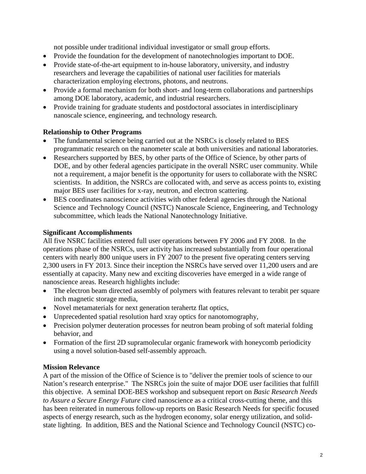not possible under traditional individual investigator or small group efforts.

- Provide the foundation for the development of nanotechnologies important to DOE.
- Provide state-of-the-art equipment to in-house laboratory, university, and industry researchers and leverage the capabilities of national user facilities for materials characterization employing electrons, photons, and neutrons.
- Provide a formal mechanism for both short- and long-term collaborations and partnerships among DOE laboratory, academic, and industrial researchers.
- Provide training for graduate students and postdoctoral associates in interdisciplinary nanoscale science, engineering, and technology research.

## **Relationship to Other Programs**

- The fundamental science being carried out at the NSRCs is closely related to BES programmatic research on the nanometer scale at both universities and national laboratories.
- Researchers supported by BES, by other parts of the Office of Science, by other parts of DOE, and by other federal agencies participate in the overall NSRC user community. While not a requirement, a major benefit is the opportunity for users to collaborate with the NSRC scientists. In addition, the NSRCs are collocated with, and serve as access points to, existing major BES user facilities for x-ray, neutron, and electron scattering.
- BES coordinates nanoscience activities with other federal agencies through the National Science and Technology Council (NSTC) Nanoscale Science, Engineering, and Technology subcommittee, which leads the National Nanotechnology Initiative.

## **Significant Accomplishments**

All five NSRC facilities entered full user operations between FY 2006 and FY 2008. In the operations phase of the NSRCs, user activity has increased substantially from four operational centers with nearly 800 unique users in FY 2007 to the present five operating centers serving 2,300 users in FY 2013. Since their inception the NSRCs have served over 11,200 users and are essentially at capacity. Many new and exciting discoveries have emerged in a wide range of nanoscience areas. Research highlights include:

- The electron beam directed assembly of polymers with features relevant to terabit per square inch magnetic storage media,
- Novel metamaterials for next generation terahertz flat optics,
- Unprecedented spatial resolution hard xray optics for nanotomography,
- Precision polymer deuteration processes for neutron beam probing of soft material folding behavior, and
- Formation of the first 2D supramolecular organic framework with honeycomb periodicity using a novel solution-based self-assembly approach.

# **Mission Relevance**

A part of the mission of the Office of Science is to "deliver the premier tools of science to our Nation's research enterprise." The NSRCs join the suite of major DOE user facilities that fulfill this objective. A seminal DOE-BES workshop and subsequent report on *Basic Research Needs to Assure a Secure Energy Future* cited nanoscience as a critical cross-cutting theme, and this has been reiterated in numerous follow-up reports on Basic Research Needs for specific focused aspects of energy research, such as the hydrogen economy, solar energy utilization, and solidstate lighting. In addition, BES and the National Science and Technology Council (NSTC) co